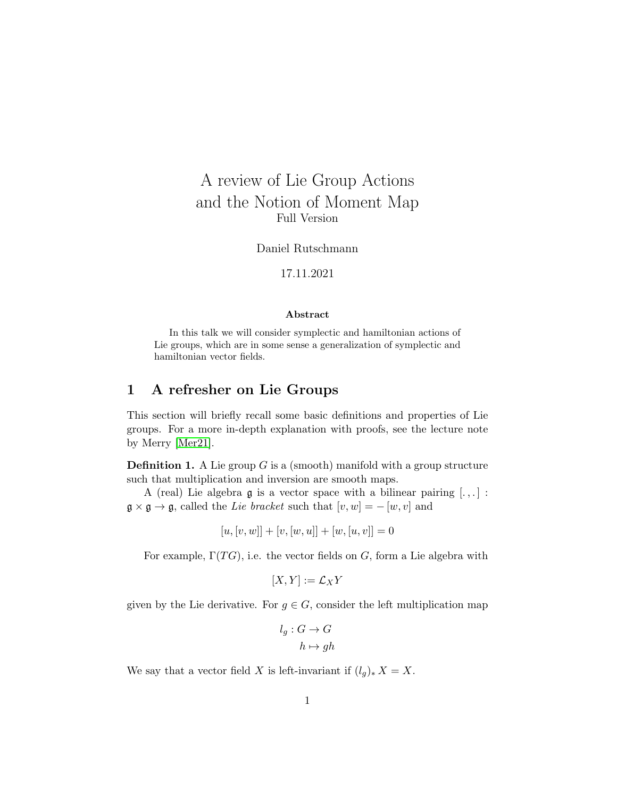# A review of Lie Group Actions and the Notion of Moment Map Full Version

Daniel Rutschmann

#### 17.11.2021

#### Abstract

In this talk we will consider symplectic and hamiltonian actions of Lie groups, which are in some sense a generalization of symplectic and hamiltonian vector fields.

## 1 A refresher on Lie Groups

This section will briefly recall some basic definitions and properties of Lie groups. For a more in-depth explanation with proofs, see the lecture note by Merry [\[Mer21\]](#page-8-0).

**Definition 1.** A Lie group  $G$  is a (smooth) manifold with a group structure such that multiplication and inversion are smooth maps.

A (real) Lie algebra  $\mathfrak g$  is a vector space with a bilinear pairing  $[.,.]$ :  $\mathfrak{g} \times \mathfrak{g} \to \mathfrak{g}$ , called the Lie bracket such that  $[v, w] = -[w, v]$  and

$$
[u, [v, w]] + [v, [w, u]] + [w, [u, v]] = 0
$$

For example,  $\Gamma(TG)$ , i.e. the vector fields on G, form a Lie algebra with

$$
[X,Y]:=\mathcal{L}_X Y
$$

given by the Lie derivative. For  $g \in G$ , consider the left multiplication map

$$
l_g: G \to G
$$

$$
h \mapsto gh
$$

We say that a vector field X is left-invariant if  $(l_g)_* X = X$ .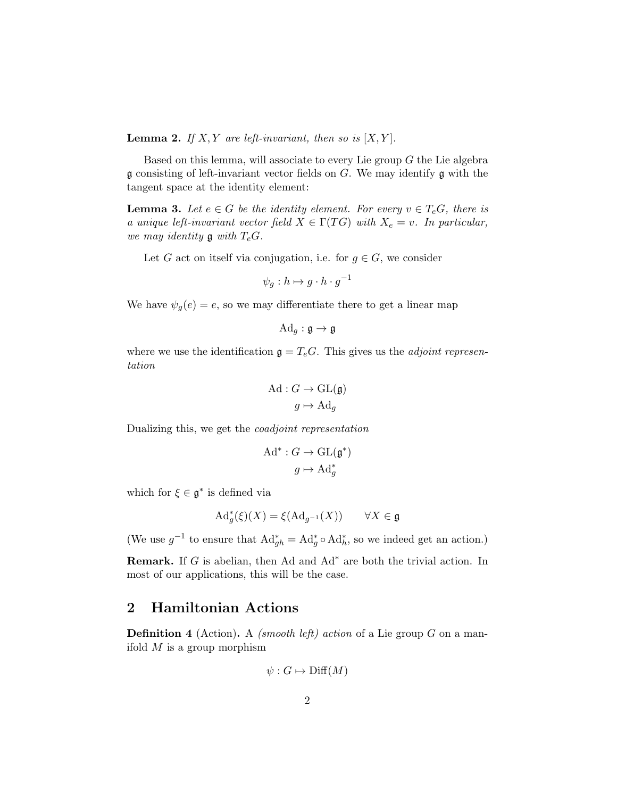**Lemma 2.** If X, Y are left-invariant, then so is  $[X, Y]$ .

Based on this lemma, will associate to every Lie group  $G$  the Lie algebra  $\mathfrak g$  consisting of left-invariant vector fields on  $G$ . We may identify  $\mathfrak g$  with the tangent space at the identity element:

**Lemma 3.** Let  $e \in G$  be the identity element. For every  $v \in T_eG$ , there is a unique left-invariant vector field  $X \in \Gamma(TG)$  with  $X_e = v$ . In particular, we may identity  $\mathfrak g$  with  $T_eG$ .

Let G act on itself via conjugation, i.e. for  $g \in G$ , we consider

$$
\psi_g: h \mapsto g \cdot h \cdot g^{-1}
$$

We have  $\psi_q(e) = e$ , so we may differentiate there to get a linear map

$$
\mathrm{Ad}_g : \mathfrak{g} \to \mathfrak{g}
$$

where we use the identification  $\mathfrak{g} = T_eG$ . This gives us the *adjoint represen*tation

$$
\mathrm{Ad}: G \to \mathrm{GL}(\mathfrak{g})
$$

$$
g \mapsto \mathrm{Ad}_g
$$

Dualizing this, we get the coadjoint representation

$$
\mathrm{Ad}^* : G \to \mathrm{GL}(\mathfrak{g}^*)
$$

$$
g \mapsto \mathrm{Ad}^*_g
$$

which for  $\xi \in \mathfrak{g}^*$  is defined via

$$
\mathrm{Ad}_g^*(\xi)(X) = \xi(\mathrm{Ad}_{g^{-1}}(X)) \qquad \forall X \in \mathfrak{g}
$$

(We use  $g^{-1}$  to ensure that  $\operatorname{Ad}_{gh}^* = \operatorname{Ad}_g^* \circ \operatorname{Ad}_h^*$ , so we indeed get an action.)

**Remark.** If G is abelian, then Ad and  $Ad^*$  are both the trivial action. In most of our applications, this will be the case.

#### 2 Hamiltonian Actions

**Definition 4** (Action). A *(smooth left)* action of a Lie group  $G$  on a manifold  $M$  is a group morphism

$$
\psi: G \mapsto \text{Diff}(M)
$$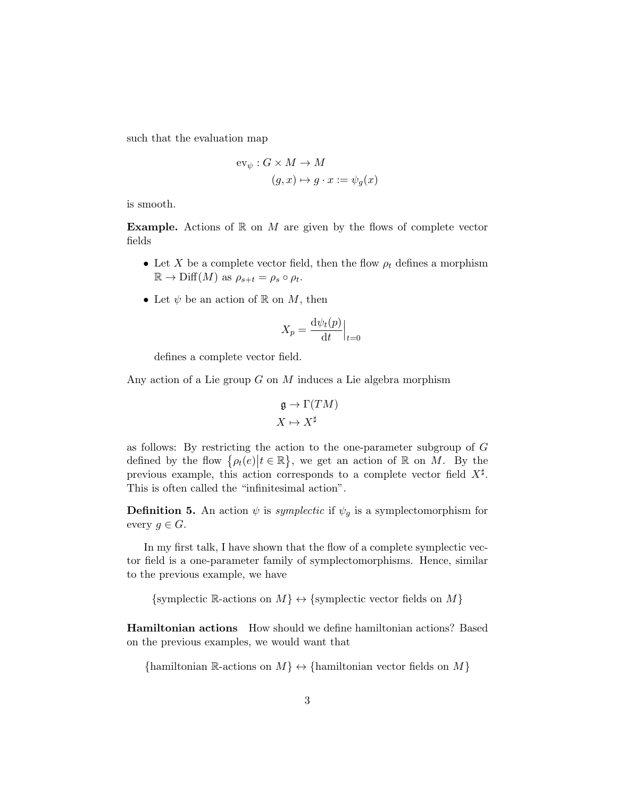such that the evaluation map

$$
ev_{\psi}: G \times M \to M
$$

$$
(g, x) \mapsto g \cdot x := \psi_g(x)
$$

is smooth.

**Example.** Actions of  $\mathbb{R}$  on  $M$  are given by the flows of complete vector fields

- Let X be a complete vector field, then the flow  $\rho_t$  defines a morphism  $\mathbb{R} \to \mathrm{Diff}(M)$  as  $\rho_{s+t} = \rho_s \circ \rho_t$ .
- Let  $\psi$  be an action of R on M, then

$$
X_p = \frac{\mathrm{d}\psi_t(p)}{\mathrm{d}t}\Big|_{t=0}
$$

defines a complete vector field.

Any action of a Lie group  $G$  on  $M$  induces a Lie algebra morphism

$$
\mathfrak{g} \to \Gamma(TM)
$$
  

$$
X \mapsto X^{\sharp}
$$

as follows: By restricting the action to the one-parameter subgroup of G defined by the flow  $\{\rho_t(e) | t \in \mathbb{R}\},\$  we get an action of  $\mathbb R$  on  $M$ . By the previous example, this action corresponds to a complete vector field  $X^{\sharp}$ . This is often called the "infinitesimal action".

**Definition 5.** An action  $\psi$  is *symplectic* if  $\psi_g$  is a symplectomorphism for every  $g \in G$ .

In my first talk, I have shown that the flow of a complete symplectic vector field is a one-parameter family of symplectomorphisms. Hence, similar to the previous example, we have

{symplectic R-actions on  $M$ }  $\leftrightarrow$  {symplectic vector fields on  $M$ }

Hamiltonian actions How should we define hamiltonian actions? Based on the previous examples, we would want that

{hamiltonian R-actions on  $M$ }  $\leftrightarrow$  {hamiltonian vector fields on  $M$ }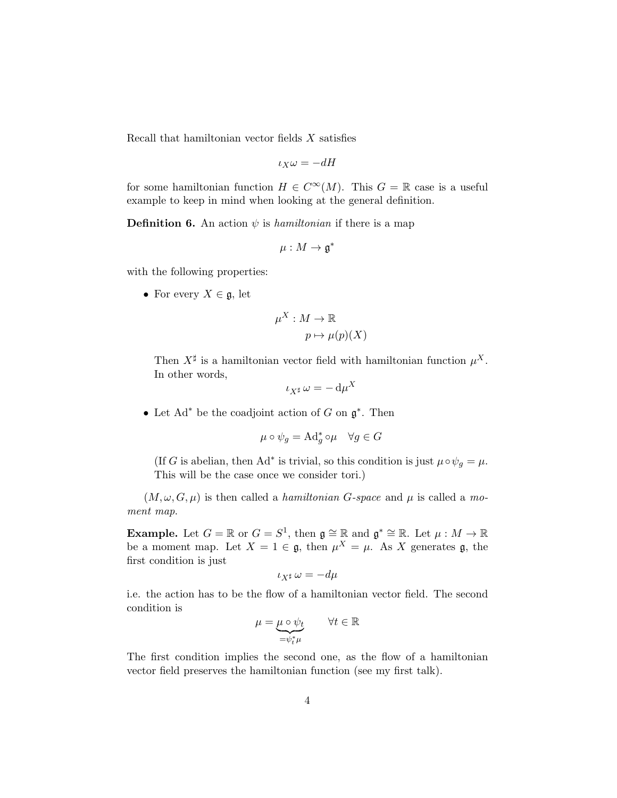Recall that hamiltonian vector fields  $X$  satisfies

$$
\iota_X \omega = -dH
$$

for some hamiltonian function  $H \in C^{\infty}(M)$ . This  $G = \mathbb{R}$  case is a useful example to keep in mind when looking at the general definition.

**Definition 6.** An action  $\psi$  is hamiltonian if there is a map

$$
\mu: M \to \mathfrak{g}^*
$$

with the following properties:

• For every  $X \in \mathfrak{g}$ , let

$$
\mu^X : M \to \mathbb{R}
$$

$$
p \mapsto \mu(p)(X)
$$

Then  $X^{\sharp}$  is a hamiltonian vector field with hamiltonian function  $\mu^{X}$ . In other words,  $\mathbf{v}$ 

$$
\iota_{X^\sharp}\,\omega=-\,\mathrm{d}\mu^X
$$

• Let  $Ad^*$  be the coadjoint action of G on  $\mathfrak{g}^*$ . Then

$$
\mu \circ \psi_g = \mathrm{Ad}^*_g \circ \mu \quad \forall g \in G
$$

(If G is abelian, then Ad<sup>\*</sup> is trivial, so this condition is just  $\mu \circ \psi_g = \mu$ . This will be the case once we consider tori.)

 $(M, \omega, G, \mu)$  is then called a *hamiltonian G-space* and  $\mu$  is called a moment map.

**Example.** Let  $G = \mathbb{R}$  or  $G = S^1$ , then  $\mathfrak{g} \cong \mathbb{R}$  and  $\mathfrak{g}^* \cong \mathbb{R}$ . Let  $\mu : M \to \mathbb{R}$ be a moment map. Let  $X = 1 \in \mathfrak{g}$ , then  $\mu^X = \mu$ . As X generates  $\mathfrak{g}$ , the first condition is just

$$
\iota_{X^\sharp}\,\omega=-d\mu
$$

i.e. the action has to be the flow of a hamiltonian vector field. The second condition is

$$
\mu = \underbrace{\mu \circ \psi_t}_{= \psi_t^* \mu} \qquad \forall t \in \mathbb{R}
$$

The first condition implies the second one, as the flow of a hamiltonian vector field preserves the hamiltonian function (see my first talk).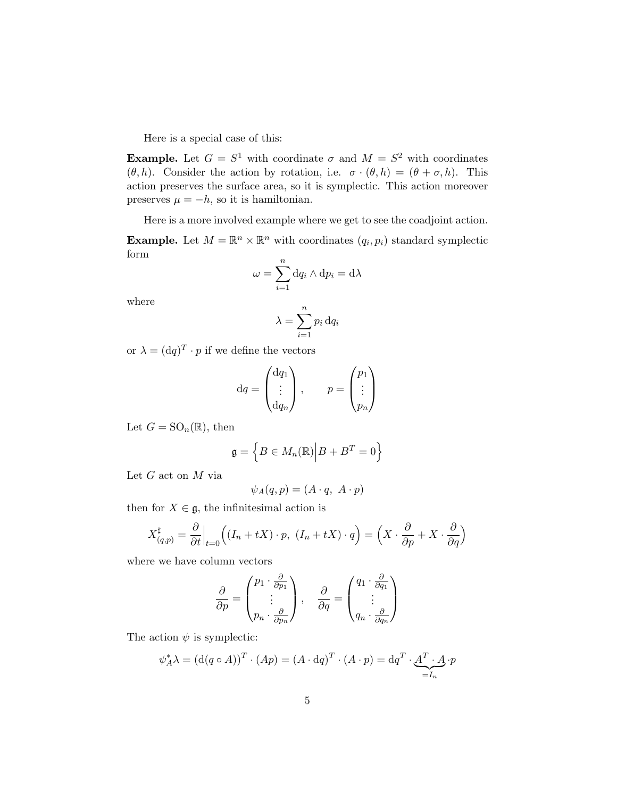Here is a special case of this:

**Example.** Let  $G = S^1$  with coordinate  $\sigma$  and  $M = S^2$  with coordinates  $(\theta, h)$ . Consider the action by rotation, i.e.  $\sigma \cdot (\theta, h) = (\theta + \sigma, h)$ . This action preserves the surface area, so it is symplectic. This action moreover preserves  $\mu = -h$ , so it is hamiltonian.

Here is a more involved example where we get to see the coadjoint action.

**Example.** Let  $M = \mathbb{R}^n \times \mathbb{R}^n$  with coordinates  $(q_i, p_i)$  standard symplectic form

$$
\omega = \sum_{i=1}^{n} dq_i \wedge dp_i = d\lambda
$$

where

$$
\lambda = \sum_{i=1}^{n} p_i \, dq_i
$$

or  $\lambda = (dq)^T \cdot p$  if we define the vectors

$$
\mathrm{d}q = \begin{pmatrix} \mathrm{d}q_1 \\ \vdots \\ \mathrm{d}q_n \end{pmatrix}, \qquad p = \begin{pmatrix} p_1 \\ \vdots \\ p_n \end{pmatrix}
$$

Let  $G = SO_n(\mathbb{R})$ , then

$$
\mathfrak{g} = \left\{ B \in M_n(\mathbb{R}) \middle| B + B^T = 0 \right\}
$$

Let  $G$  act on  $M$  via

$$
\psi_A(q, p) = (A \cdot q, \ A \cdot p)
$$

then for  $X \in \mathfrak{g}$ , the infinitesimal action is

$$
X_{(q,p)}^{\sharp} = \frac{\partial}{\partial t}\Big|_{t=0} \Big( (I_n + tX) \cdot p, \ (I_n + tX) \cdot q \Big) = \Big( X \cdot \frac{\partial}{\partial p} + X \cdot \frac{\partial}{\partial q} \Big)
$$

where we have column vectors

$$
\frac{\partial}{\partial p} = \begin{pmatrix} p_1 \cdot \frac{\partial}{\partial p_1} \\ \vdots \\ p_n \cdot \frac{\partial}{\partial p_n} \end{pmatrix}, \quad \frac{\partial}{\partial q} = \begin{pmatrix} q_1 \cdot \frac{\partial}{\partial q_1} \\ \vdots \\ q_n \cdot \frac{\partial}{\partial q_n} \end{pmatrix}
$$

The action  $\psi$  is symplectic:

$$
\psi_A^* \lambda = (\mathbf{d}(q \circ A))^T \cdot (Ap) = (A \cdot \mathbf{d}q)^T \cdot (A \cdot p) = \mathbf{d}q^T \cdot \underbrace{A^T \cdot A}_{=I_n} \cdot p
$$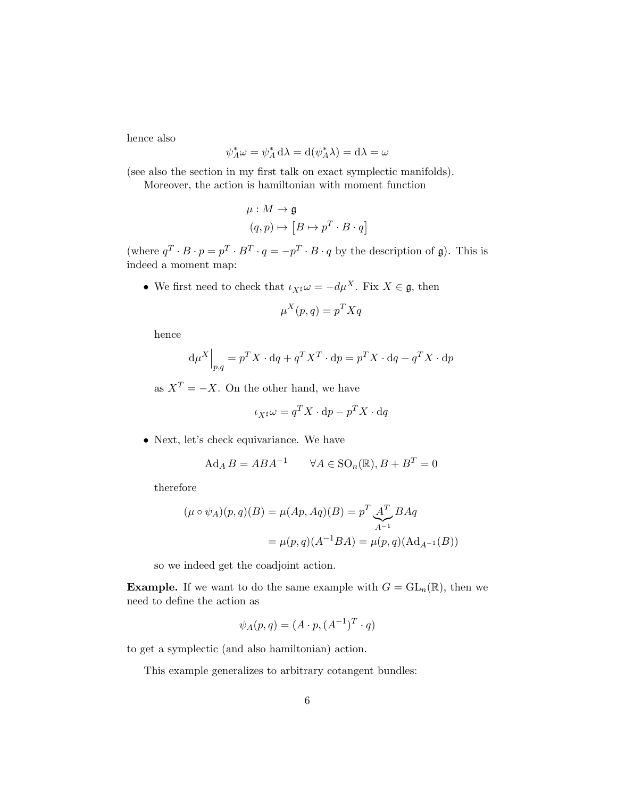hence also

$$
\psi_A^* \omega = \psi_A^* d\lambda = d(\psi_A^* \lambda) = d\lambda = \omega
$$

(see also the section in my first talk on exact symplectic manifolds).

Moreover, the action is hamiltonian with moment function

$$
\mu: M \to \mathfrak{g}
$$

$$
(q, p) \mapsto [B \mapsto p^T \cdot B \cdot q]
$$

(where  $q^T \cdot B \cdot p = p^T \cdot B^T \cdot q = -p^T \cdot B \cdot q$  by the description of g). This is indeed a moment map:

• We first need to check that  $\iota_X \mathfrak{p} \omega = -d\mu^X$ . Fix  $X \in \mathfrak{g}$ , then

$$
\mu^X(p,q) = p^T X q
$$

hence

$$
\mathrm{d}\mu^X\Big|_{p,q} = p^T X \cdot \mathrm{d}q + q^T X^T \cdot \mathrm{d}p = p^T X \cdot \mathrm{d}q - q^T X \cdot \mathrm{d}p
$$

as  $X^T = -X$ . On the other hand, we have

$$
\iota_{X^{\sharp}}\omega = q^T X \cdot dp - p^T X \cdot dq
$$

• Next, let's check equivariance. We have

$$
Ad_A B = ABA^{-1} \qquad \forall A \in \text{SO}_n(\mathbb{R}), B + B^T = 0
$$

therefore

$$
(\mu \circ \psi_A)(p, q)(B) = \mu(Ap, Aq)(B) = p^T \underbrace{A^T}_{A^{-1}} BAq
$$

$$
= \mu(p, q)(A^{-1}BA) = \mu(p, q)(Ad_{A^{-1}}(B))
$$

so we indeed get the coadjoint action.

**Example.** If we want to do the same example with  $G = GL_n(\mathbb{R})$ , then we need to define the action as

$$
\psi_A(p,q) = (A \cdot p, (A^{-1})^T \cdot q)
$$

to get a symplectic (and also hamiltonian) action.

This example generalizes to arbitrary cotangent bundles: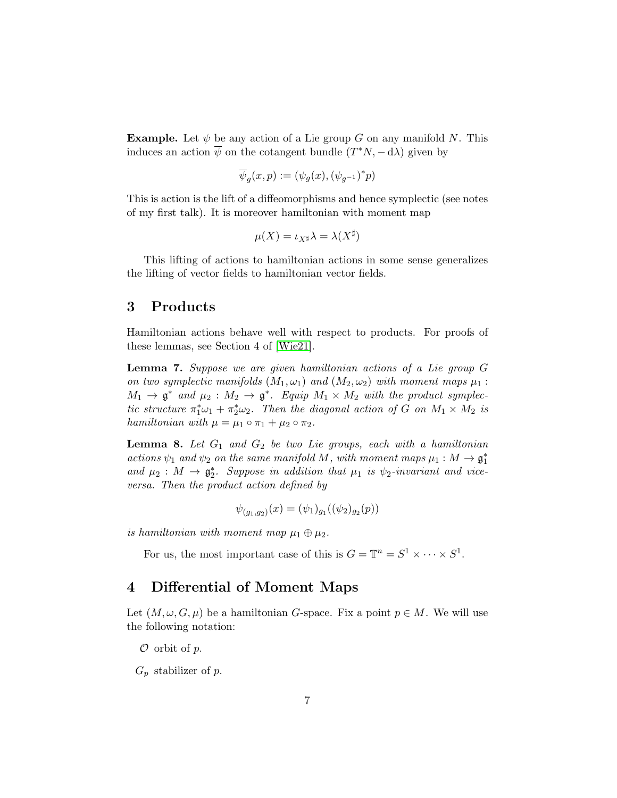**Example.** Let  $\psi$  be any action of a Lie group G on any manifold N. This induces an action  $\overline{\psi}$  on the cotangent bundle  $(T^*N, -d\lambda)$  given by

$$
\overline{\psi}_g(x,p) := (\psi_g(x), (\psi_{g^{-1}})^* p)
$$

This is action is the lift of a diffeomorphisms and hence symplectic (see notes of my first talk). It is moreover hamiltonian with moment map

$$
\mu(X)=\iota_{X^{\sharp}}\lambda=\lambda(X^{\sharp})
$$

This lifting of actions to hamiltonian actions in some sense generalizes the lifting of vector fields to hamiltonian vector fields.

### 3 Products

Hamiltonian actions behave well with respect to products. For proofs of these lemmas, see Section 4 of [\[Wie21\]](#page-8-1).

Lemma 7. Suppose we are given hamiltonian actions of a Lie group G on two symplectic manifolds  $(M_1, \omega_1)$  and  $(M_2, \omega_2)$  with moment maps  $\mu_1$ :  $M_1 \rightarrow \mathfrak{g}^*$  and  $\mu_2 : M_2 \rightarrow \mathfrak{g}^*$ . Equip  $M_1 \times M_2$  with the product symplectic structure  $\pi_1^* \omega_1 + \pi_2^* \omega_2$ . Then the diagonal action of G on  $M_1 \times M_2$  is hamiltonian with  $\mu = \mu_1 \circ \pi_1 + \mu_2 \circ \pi_2$ .

**Lemma 8.** Let  $G_1$  and  $G_2$  be two Lie groups, each with a hamiltonian actions  $\psi_1$  and  $\psi_2$  on the same manifold M, with moment maps  $\mu_1 : M \to \mathfrak{g}_1^*$ and  $\mu_2: M \to \mathfrak{g}_2^*$ . Suppose in addition that  $\mu_1$  is  $\psi_2$ -invariant and viceversa. Then the product action defined by

$$
\psi_{(g_1,g_2)}(x) = (\psi_1)_{g_1}((\psi_2)_{g_2}(p))
$$

is hamiltonian with moment map  $\mu_1 \oplus \mu_2$ .

For us, the most important case of this is  $G = \mathbb{T}^n = S^1 \times \cdots \times S^1$ .

## 4 Differential of Moment Maps

Let  $(M, \omega, G, \mu)$  be a hamiltonian G-space. Fix a point  $p \in M$ . We will use the following notation:

 $\mathcal O$  orbit of  $p$ .

 $G_p$  stabilizer of p.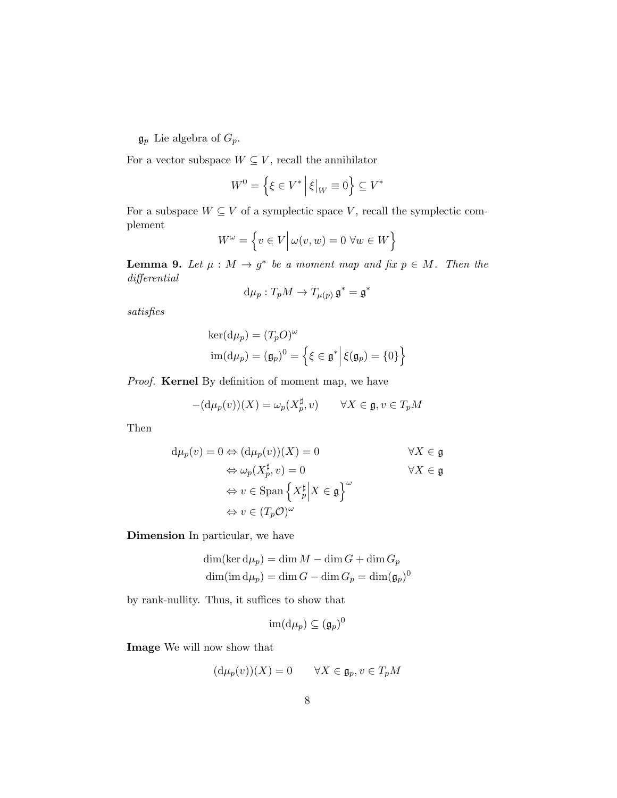$\mathfrak{g}_p$  Lie algebra of  $G_p$ .

For a vector subspace  $W \subseteq V$ , recall the annihilator

$$
W^{0} = \left\{ \xi \in V^* \, \middle| \, \xi \big|_{W} \equiv 0 \right\} \subseteq V^*
$$

For a subspace  $W \subseteq V$  of a symplectic space V, recall the symplectic complement

$$
W^{\omega} = \left\{ v \in V \, \middle| \, \omega(v, w) = 0 \, \forall w \in W \right\}
$$

**Lemma 9.** Let  $\mu : M \to g^*$  be a moment map and fix  $p \in M$ . Then the differential

$$
d\mu_p: T_p M \to T_{\mu(p)} \mathfrak{g}^* = \mathfrak{g}^*
$$

satisfies

$$
ker(d\mu_p) = (T_p O)^{\omega}
$$
  
im $(d\mu_p) = (\mathfrak{g}_p)^0 = \left\{ \xi \in \mathfrak{g}^* \middle| \xi(\mathfrak{g}_p) = \{0\} \right\}$ 

Proof. Kernel By definition of moment map, we have

$$
-(\mathrm{d}\mu_p(v))(X) = \omega_p(X_p^{\sharp}, v) \qquad \forall X \in \mathfrak{g}, v \in T_pM
$$

Then

$$
d\mu_p(v) = 0 \Leftrightarrow (d\mu_p(v))(X) = 0 \qquad \forall X \in \mathfrak{g}
$$
  
\n
$$
\Leftrightarrow \omega_p(X_p^{\sharp}, v) = 0 \qquad \forall X \in \mathfrak{g}
$$
  
\n
$$
\Leftrightarrow v \in \text{Span}\left\{X_p^{\sharp} \middle| X \in \mathfrak{g}\right\}^{\omega}
$$
  
\n
$$
\Leftrightarrow v \in (T_p \mathcal{O})^{\omega}
$$

Dimension In particular, we have

$$
\dim(\ker d\mu_p) = \dim M - \dim G + \dim G_p
$$
  

$$
\dim(\text{im } d\mu_p) = \dim G - \dim G_p = \dim(\mathfrak{g}_p)^0
$$

by rank-nullity. Thus, it suffices to show that

$$
\operatorname{im} ( \mathrm{d} \mu_p ) \subseteq (\mathfrak{g}_p)^0
$$

Image We will now show that

$$
(\mathrm{d}\mu_p(v))(X) = 0 \qquad \forall X \in \mathfrak{g}_p, v \in T_pM
$$